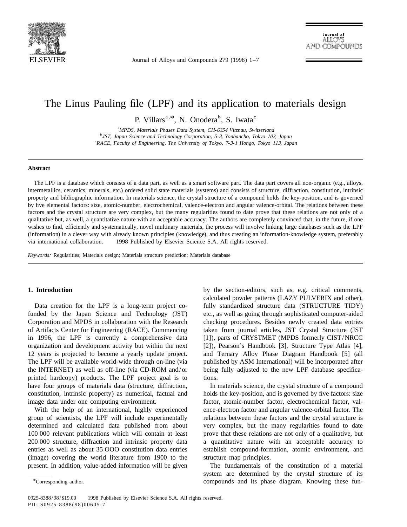

# The Linus Pauling file (LPF) and its application to materials design

P. Villars<sup>a, \*</sup>, N. Onodera<sup>b</sup>, S. Iwata<sup>c</sup>

a *MPDS*, *Materials Phases Data System*, *CH*-<sup>6354</sup> *Vitznau*, *Switzerland* b *JST*, *Japan Science and Technology Corporation*, <sup>5</sup>-3, *Yonbancho*, *Tokyo* 102, *Japan* c *RACE*, *Faculty of Engineering*, *The University of Tokyo*, <sup>7</sup>-3-<sup>1</sup> *Hongo*, *Tokyo* 113, *Japan*

### **Abstract**

The LPF is a database which consists of a data part, as well as a smart software part. The data part covers all non-organic (e.g., alloys, intermetallics, ceramics, minerals, etc.) ordered solid state materials (systems) and consists of structure, diffraction, constitution, intrinsic property and bibliographic information. In materials science, the crystal structure of a compound holds the key-position, and is governed by five elemental factors: size, atomic-number, electrochemical, valence-electron and angular valence-orbital. The relations between these factors and the crystal structure are very complex, but the many regularities found to date prove that these relations are not only of a qualitative but, as well, a quantitative nature with an acceptable accuracy. The authors are completely convinced that, in the future, if one wishes to find, efficiently and systematically, novel multinary materials, the process will involve linking large databases such as the LPF (information) in a clever way with already known principles (knowledge), and thus creating an information-knowledge system, preferably via international collaboration.  $\oslash$  1998 Published by Elsevier Science S.A. All rights reserved.

*Keywords*: Regularities; Materials design; Materials structure prediction; Materials database

funded by the Japan Science and Technology (JST) etc., as well as going through sophisticated computer-aided Corporation and MPDS in collaboration with the Research checking procedures. Besides newly created data entries of Artifacts Center for Engineering (RACE). Commencing taken from journal articles, JST Crystal Structure (JST in 1996, the LPF is currently a comprehensive data [1]), parts of CRYSTMET (MPDS formerly CIST/NRCC organization and development activity but within the next [2]), Pearson's Handbook [3], Structure Type Atlas [4], 12 years is projected to become a yearly update project. and Ternary Alloy Phase Diagram Handbook [5] (all The LPF will be available world-wide through on-line (via published by ASM International) will be incorporated after the INTERNET) as well as off-line (via CD-ROM and/or being fully adjusted to the new LPF database specificaprinted hardcopy) products. The LPF project goal is to tions. have four groups of materials data (structure, diffraction, In materials science, the crystal structure of a compound constitution, intrinsic property) as numerical, factual and holds the key-position, and is governed by five factors: size image data under one computing environment. factor, atomic-number factor, electrochemical factor, val-

group of scientists, the LPF will include experimentally relations between these factors and the crystal structure is determined and calculated data published from about very complex, but the many regularities found to date 100 000 relevant publications which will contain at least prove that these relations are not only of a qualitative, but 200 000 structure, diffraction and intrinsic property data a quantitative nature with an acceptable accuracy to entries as well as about 35 OOO constitution data entries establish compound-formation, atomic environment, and (image) covering the world literature from 1900 to the structure map principles. present. In addition, value-added information will be given The fundamentals of the constitution of a material

**1. Introduction** by the section-editors, such as, e.g. critical comments, calculated powder patterns (LAZY PULVERIX and other), Data creation for the LPF is a long-term project co-<br>
fully standardized structure data (STRUCTURE TIDY)

With the help of an international, highly experienced ence-electron factor and angular valence-orbital factor. The

system are determined by the crystal structure of its \*Corresponding author. compounds and its phase diagram. Knowing these fun-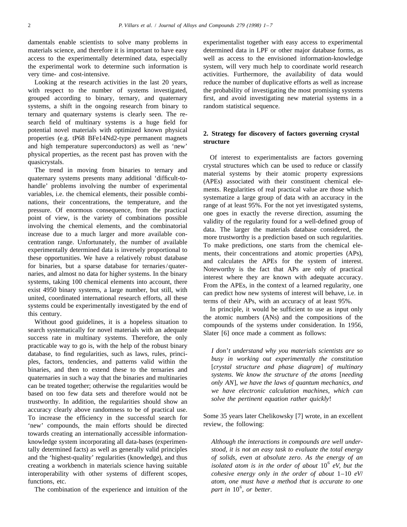damentals enable scientists to solve many problems in experimentalist together with easy access to experimental materials science, and therefore it is important to have easy determined data in LPF or other major database forms, as access to the experimentally determined data, especially well as access to the envisioned information-knowledge the experimental work to determine such information is system, will very much help to coordinate world research very time- and cost-intensive. activities. Furthermore, the availability of data would

with respect to the number of systems investigated, the probability of investigating the most promising systems grouped according to binary, ternary, and quaternary first, and avoid investigating new material systems in a systems, a shift in the ongoing research from binary to random statistical sequence. ternary and quaternary systems is clearly seen. The research field of multinary systems is a huge field for potential novel materials with optimized known physical **2. Strategy for discovery of factors governing crystal** properties (e.g. tP68 BFe14Nd2-type permanent magnets **structure** and high temperature superconductors) as well as 'new'

physical properties, as the recent past has proven with the<br>
quasierystial,<br>
The trend in moving from binaries to ternary and<br>
quasierystials. The trend in moving from binaries to ternary and<br>
quasierystials tructures whi

practicable way to go is, with the help of the robust binary<br>database, to find regularities, such as laws, rules, principles, factors, tendencies, and patterns valid within the<br>binaries, and then to extend these to the ter quaternaries in such a way that the binaries and multinaries<br>can be treated together; otherwise the regularities would be<br>based on too few data sets and therefore would not be<br>tractured by AN], we have electronic calculati trustworthy. In addition, the regularities should show an accuracy clearly above randomness to be of practical use. To increase the efficiency in the successful search for Some 35 years later Chelikowsky [7] wrote, in an excellent 'new' compounds the main efforts should be directed review, the following: 'new' compounds, the main efforts should be directed towards creating an internationally accessible informationknowledge system incorporating all data-bases (experimen- *Although the interactions in compounds are well under*tally determined facts) as well as generally valid principles *stood*, *it is not an easy task to evaluate the total energy* and the 'highest-quality' regularities (knowledge), and thus of solids, even at absolute zero. As the energy of an creating a workbench in materials science having suitable isolated atom is in the order of about  $10^6$  eV interoperability with other systems of different scopes, *cohesive energy only in the order of about* 1–10 *eV*/

Looking at the research activities in the last 20 years, reduce the number of duplicative efforts as well as increase

functions, etc.<br>The combination of the experience and intuition of the *part in*  $10^6$ , *or better*.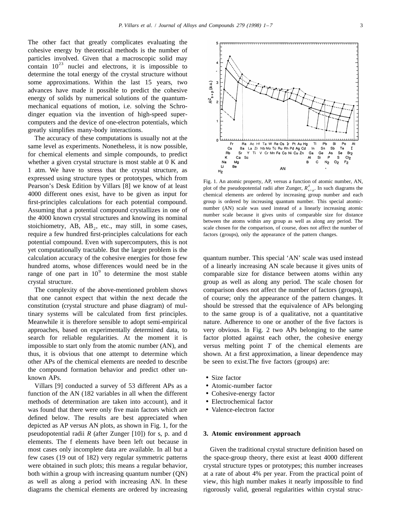The other fact that greatly complicates evaluating the cohesive energy by theoretical methods is the number of particles involved. Given that a macroscopic solid may contain  $10^{23}$  nuclei and electrons, it is impossible to determine the total energy of the crystal structure without some approximations. Within the last 15 years, two advances have made it possible to predict the cohesive energy of solids by numerical solutions of the quantummechanical equations of motion, i.e. solving the Schrodinger equation via the invention of high-speed supercomputers and the device of one-electron potentials, which greatly simplifies many-body interactions.

The accuracy of these computations is usually not at the same level as experiments. Nonetheless, it is now possible, for chemical elements and simple compounds, to predict whether a given crystal structure is most stable at 0 K and 1 atm. We have to stress that the crystal structure, as expressed using structure types or prototypes, which from<br>
Pearson's Desk Edition by Villars [8] we know of at least<br>
4000 different ones exist, have to be given as input for<br>
the neidal elements are ordered by increasing 4000 different ones exist, have to be given as input for first-principles calculations for each potential compound. group is ordered by increasing quantum number. This special atomic-<br>Assuming that a potential compound crystallizes in one of number (AN) scale was used instead of Assuming that a potential compound crystallizes in one of<br>the 4000 known crystal structures and knowing its nominal<br>stoichiometry, AB, AB<sub>2</sub>, etc., may still, in some cases,<br>stoichiometry, AB, AB<sub>2</sub>, etc., may still, in so require a few hundred first-principles calculations for each factors (groups), only the appearance of the pattern changes. potential compound. Even with supercomputers, this is not yet computationally tractable. But the larger problem is the calculation accuracy of the cohesive energies for those few quantum number. This special 'AN' scale was used instead hundred atoms, whose differences would need be in the of a linearly increasing AN scale because it gives units of range of one part in  $10<sup>9</sup>$  to determine the most stable comparable size for distance between atoms wi crystal structure. group as well as along any period. The scale chosen for

that one cannot expect that within the next decade the of course; only the appearance of the pattern changes. It constitution (crystal structure and phase diagram) of mul- should be stressed that the equivalence of APs belonging tinary systems will be calculated from first principles. to the same group is of a qualitative, not a quantitative Meanwhile it is therefore sensible to adopt semi-empirical nature. Adherence to one or another of the five factors is approaches, based on experimentally determined data, to very obvious. In Fig. 2 two APs belonging to the same search for reliable regularities. At the moment it is factor plotted against each other, the cohesive energy impossible to start only from the atomic number  $(AN)$ , and versus melting point  $T$  of the chemical elements are thus, it is obvious that one attempt to determine which shown. At a first approximation, a linear dependence may other APs of the chemical elements are needed to describe be seen to exist.The five factors (groups) are: the compound formation behavior and predict other unknown APs. • Size factor

Villars [9] conducted a survey of 53 different APs as a • Atomic-number factor function of the AN (182 variables in all when the different • Cohesive-energy factor methods of determination are taken into account), and it • Electrochemical factor was found that there were only five main factors which are • Valence-electron factor defined below. The results are best appreciated when depicted as AP versus AN plots, as shown in Fig. 1, for the pseudopotential radii *R* (after Zunger [10]) for s, p. and d **3. Atomic environment approach** elements. The f elements have been left out because in most cases only incomplete data are available. In all but a Given the traditional crystal structure definition based on few cases (19 out of 182) very regular symmetric patterns the space-group theory, there exist at least 4000 different were obtained in such plots; this means a regular behavior, crystal structure types or prototypes; this number increases both within a group with increasing quantum number (QN) at a rate of about 4% per year. From the practical point of as well as along a period with increasing AN. In these view, this high number makes it nearly impossible to find



The complexity of the above-mentioned problem shows comparison does not affect the number of factors (groups),

- 
- 
- 
- 
- 

diagrams the chemical elements are ordered by increasing rigorously valid, general regularities within crystal struc-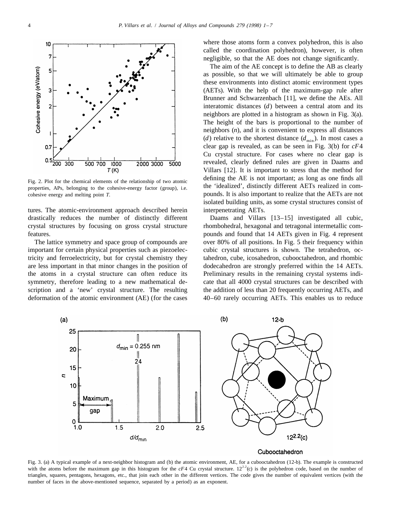

tures. The atomic-environment approach described herein interpenetrating AETs.

important for certain physical properties such as piezoelec- cubic crystal structures is shown. The tetrahedron, octricity and ferroelectricity, but for crystal chemistry they tahedron, cube, icosahedron, cubooctahedron, and rhombic are less important in that minor changes in the position of dodecahedron are strongly preferred within the 14 AETs. the atoms in a crystal structure can often reduce its Preliminary results in the remaining crystal systems indisymmetry, therefore leading to a new mathematical de- cate that all 4000 crystal structures can be described with scription and a 'new' crystal structure. The resulting the addition of less than 20 frequently occurring AETs, and deformation of the atomic environment (AE) (for the cases 40–60 rarely occurring AETs. This enables us to reduce

where those atoms form a convex polyhedron, this is also called the coordination polyhedron), however, is often negligible, so that the AE does not change significantly.

The aim of the AE concept is to define the AB as clearly as possible, so that we will ultimately be able to group these environments into distinct atomic environment types (AETs). With the help of the maximum-gap rule after Brunner and Schwarzenbach [11], we define the AEs. All interatomic distances (*d*) between a central atom and its neighbors are plotted in a histogram as shown in Fig. 3(a). The height of the bars is proportional to the number of neighbors (*n*), and it is convenient to express all distances (*d*) relative to the shortest distance  $(d_{\min})$ . In most cases a clear gap is revealed, as can be seen in Fig. 3(b) for *cF*4 Cu crystal structure. For cases where no clear gap is revealed, clearly defined rules are given in Daams and Villars [12]. It is important to stress that the method for Fig. 2. Plot for the chemical elements of the relationship of two atomic<br>properties, APs, belonging to the cohesive-energy factor (group), i.e. the 'idealized', distinctly different AETs realized in comcohesive energy and melting point *T*. pounds. It is also important to realize that the AETs are not isolated building units, as some crystal structures consist of

drastically reduces the number of distinctly different Daams and Villars [13–15] investigated all cubic, crystal structures by focusing on gross crystal structure rhombohedral, hexagonal and tetragonal intermetallic comfeatures. pounds and found that 14 AETs given in Fig. 4 represent The lattice symmetry and space group of compounds are over 80% of all positions. In Fig. 5 their frequency within



### Cubooctahedron

Fig. 3. (a) A typical example of a next-neighbor histogram and (b) the atomic environment, AE, for a cubooctahedron (12-b). The example is constructed with the atoms before the maximum gap in this histogram for the  $cF4$  Cu crystal structure.  $12^{2.2}$ (c) is the polyhedron code, based on the number of triangles, squares, pentagons, hexagons, etc., that join each other in the different vertices. The code gives the number of equivalent vertices (with the number of faces in the above-mentioned sequence, separated by a period) as an exponent.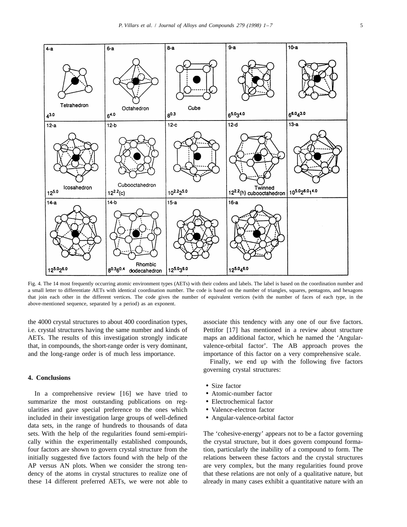

Fig. 4. The 14 most frequently occurring atomic environment types (AETs) with their codens and labels. The label is based on the coordination number and a small letter to differentiate AETs with identical coordination number. The code is based on the number of triangles, squares, pentagons, and hexagons that join each other in the different vertices. The code gives the number of equivalent vertices (with the number of faces of each type, in the above-mentioned sequence, separated by a period) as an exponent.

the 4000 crystal structures to about 400 coordination types, associate this tendency with any one of our five factors. i.e. crystal structures having the same number and kinds of Pettifor [17] has mentioned in a review about structure AETs. The results of this investigation strongly indicate maps an additional factor, which he named the 'Angularthat, in compounds, the short-range order is very dominant, valence-orbital factor'. The AB approach proves the and the long-range order is of much less importance. importance of this factor on a very comprehensive scale.

## **4. Conclusions**

In a comprehensive review  $[16]$  we have tried to  $\bullet$  Atomic-number factor summarize the most outstanding publications on reg- • Electrochemical factor ularities and gave special preference to the ones which • Valence-electron factor included in their investigation large groups of well-defined • Angular-valence-orbital factor data sets, in the range of hundreds to thousands of data sets. With the help of the regularities found semi-empiri- The 'cohesive-energy' appears not to be a factor governing cally within the experimentally established compounds, the crystal structure, but it does govern compound formafour factors are shown to govern crystal structure from the tion, particularly the inability of a compound to form. The initially suggested five factors found with the help of the relations between these factors and the crystal structures AP versus AN plots. When we consider the strong ten- are very complex, but the many regularities found prove dency of the atoms in crystal structures to realize one of that these relations are not only of a qualitative nature, but these 14 different preferred AETs, we were not able to already in many cases exhibit a quantitative nature with an

Finally, we end up with the following five factors governing crystal structures:

- Size factor
- 
- 
- 
-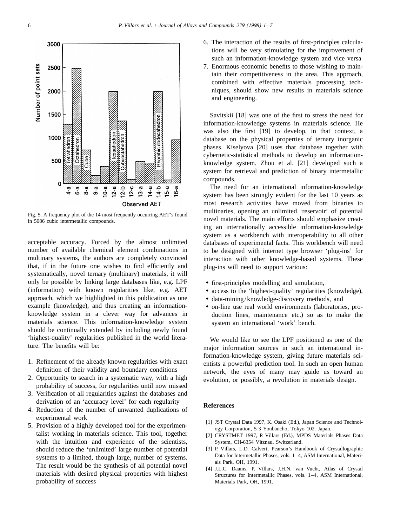

that, if in the future one wishes to find efficiently and plug-ins will need to support various: systematically, novel ternary (multinary) materials, it will only be possible by linking large databases like, e.g. LPF • first-principles modelling and simulation, (information) with known regularities like, e.g. AET • access to the 'highest-quality' regularities approach, which we highlighted in this publication as one  $\bullet$  data-mining/knowledge-discovery methods, and example (knowledge), and thus creating an information- $\bullet$  on-line use real world environments (laboratorie example (knowledge), and thus creating an information-<br>  $\bullet$  on-line use real world environments (laboratories, pro-<br>
knowledge system in a clever way for advances in<br>
duction lines, maintenance etc.) so as to make the materials science. This information-knowledge system system an international 'work' bench. should be continually extended by including newly found<br>'highest-quality' regularities published in the world litera-'highest-quality' regularities published in the world litera- We would like to see the LPF positioned as one of the

- 
- 
- 3. Verification of all regularities against the databases and derivation of an 'accuracy level' for each regularity **References** 4. Reduction of the number of unwanted duplications of
- 
- experimental work<br>
5. Provision of a highly developed tool for the experimen-<br>
talist working in materials science. This tool, together<br>
For the experimen-<br>
For the experimen-<br>
For the experimen-<br>
For the experimen-<br>
For t with the intuition and experience of the scientists, System, CH-6354 Vitznau, Switzerland. should reduce the 'unlimited' large number of potential [3] P. Villars, L.D. Calvert, Pearson's Handbook of Crystallographic systems to a limited though large number of systems Data for Intermetallic Phases, vols. 1-4, ASM systems to a limited, though large, number of systems.<br>The result would be the synthesis of all potential novel als Park, OH, 1991.<br>[4] J.L.C. Daams, P. Villars, J.H.N. van Vucht, Atlas of Crystal probability of success Materials Park, OH, 1991.
- 6. The interaction of the results of first-principles calculations will be very stimulating for the improvement of such an information-knowledge system and vice versa
- 7. Enormous economic benefits to those wishing to maintain their competitiveness in the area. This approach, combined with effective materials processing techniques, should show new results in materials science and engineering.

Savitskii [18] was one of the first to stress the need for information-knowledge systems in materials science. He was also the first [19] to develop, in that context, a database on the physical properties of ternary inorganic phases. Kiselyova [20] uses that database together with cybernetic-statistical methods to develop an informationknowledge system. Zhou et al. [21] developed such a system for retrieval and prediction of binary intermetallic compounds.

The need for an international information-knowledge system has been strongly evident for the last 10 years as most research activities have moved from binaries to Fig. 5. A frequency plot of the 14 most frequently occurring AET's found<br>in 5086 cubic intermetallic compounds.<br>In 5086 cubic intermetallic compounds. ing an internationally accessible information-knowledge system as a workbench with interoperability to all other acceptable accuracy. Forced by the almost unlimited databases of experimental facts. This workbench will need<br>number of available chemical element combinations in to be designed with internet type browser 'plug-ins' for number of available chemical element combinations in to be designed with internet type browser 'plug-ins' for<br>multinary systems, the authors are completely convinced interaction with other knowledge-based systems. These interaction with other knowledge-based systems. These

- 
- $\bullet$  access to the 'highest-quality' regularities (knowledge),
- 
- duction lines, maintenance etc.) so as to make the

major information sources in such an international information-knowledge system, giving future materials sci-1. Refinement of the already known regularities with exact entists a powerful prediction tool. In such an open human definition of their validity and boundary conditions definition of their validity and boundary conditions<br>2. Opportunity to search in a systematic way, with a high<br>probability of success, for regularities until now missed

- 
- [2] CRYSTMET 1997, P. Villars (Ed.), MPDS Materials Phases Data
- 
- materials with desired physical properties with highest Structures for Intermetallic Phases, vols. 1–4, ASM International,